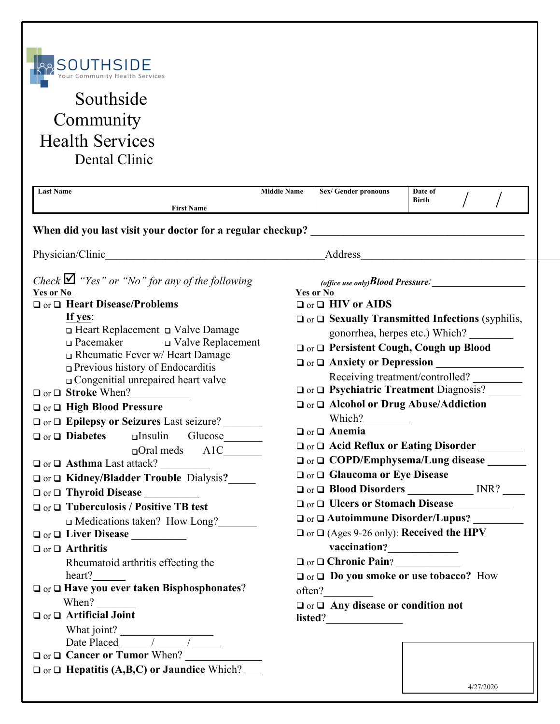

## Southside **Community** Health Services Dental Clinic

| <b>First Name</b><br>Physician/Clinic<br><u> 1989 - Johann Barn, mars ar breithinn ar chomhair an t-Alban ann an t-Alban ann an t-Alban ann an t-Alban an</u><br>Check $\blacksquare$ "Yes" or "No" for any of the following<br>Yes or No<br>Yes or No<br>$\Box$ or $\Box$ Heart Disease/Problems<br>$\Box$ or $\Box$ HIV or AIDS<br>If yes:<br>$\Box$ or $\Box$ Sexually Transmitted Infections (syphilis,<br>$\Box$ Heart Replacement $\Box$ Valve Damage<br>gonorrhea, herpes etc.) Which?<br>$\Box$ Pacemaker $\Box$ Valve Replacement<br>□ or □ Persistent Cough, Cough up Blood<br>$\Box$ Rheumatic Fever w/ Heart Damage<br>O or O Anxiety or Depression<br>$\Box$ Previous history of Endocarditis<br>Receiving treatment/controlled?<br>$\Box$ Congenitial unrepaired heart valve<br>□ or □ Psychiatric Treatment Diagnosis?<br>$\Box$ or $\Box$ Stroke When?<br>□ or □ Alcohol or Drug Abuse/Addiction<br>□ or □ High Blood Pressure<br>Which?<br>□ or □ Epilepsy or Seizures Last seizure?<br>$\Box$ or $\Box$ Anemia<br>$\Box$ or $\Box$ <b>Diabetes</b><br>alnsulin Glucose<br>□ or □ Acid Reflux or Eating Disorder _______<br>$\Box$ Oral meds A1C<br>□ or □ COPD/Emphysema/Lung disease _______<br>$\Box$ or $\Box$ <b>Asthma</b> Last attack?<br>$\Box$ or $\Box$ Glaucoma or Eye Disease<br>□ or □ Kidney/Bladder Trouble Dialysis?____<br>$\Box$ or $\Box$ Thyroid Disease<br>$\Box$ or $\Box$ Tuberculosis / Positive TB test<br>□ or □ Autoimmune Disorder/Lupus? _________<br>□ Medications taken? How Long?<br>$\Box$ or $\Box$ (Ages 9-26 only): <b>Received the HPV</b><br>$\Box$ or $\Box$ Arthritis<br>O or O Chronic Pain?<br>Rheumatoid arthritis effecting the | heart?<br>$\Box$ or $\Box$ Do you smoke or use tobacco? How<br>$\Box$ or $\Box$ Have you ever taken Bisphosphonates?<br>often?<br>When?<br>$\Box$ or $\Box$ Any disease or condition not | <b>Last Name</b> | <b>Middle Name</b> | Sex/Gender pronouns | Date of<br>Birth |           |  |
|----------------------------------------------------------------------------------------------------------------------------------------------------------------------------------------------------------------------------------------------------------------------------------------------------------------------------------------------------------------------------------------------------------------------------------------------------------------------------------------------------------------------------------------------------------------------------------------------------------------------------------------------------------------------------------------------------------------------------------------------------------------------------------------------------------------------------------------------------------------------------------------------------------------------------------------------------------------------------------------------------------------------------------------------------------------------------------------------------------------------------------------------------------------------------------------------------------------------------------------------------------------------------------------------------------------------------------------------------------------------------------------------------------------------------------------------------------------------------------------------------------------------------------------------------------------------------------------------------------------------------------------------------------------------------------------------|------------------------------------------------------------------------------------------------------------------------------------------------------------------------------------------|------------------|--------------------|---------------------|------------------|-----------|--|
|                                                                                                                                                                                                                                                                                                                                                                                                                                                                                                                                                                                                                                                                                                                                                                                                                                                                                                                                                                                                                                                                                                                                                                                                                                                                                                                                                                                                                                                                                                                                                                                                                                                                                              |                                                                                                                                                                                          |                  |                    |                     |                  |           |  |
|                                                                                                                                                                                                                                                                                                                                                                                                                                                                                                                                                                                                                                                                                                                                                                                                                                                                                                                                                                                                                                                                                                                                                                                                                                                                                                                                                                                                                                                                                                                                                                                                                                                                                              |                                                                                                                                                                                          |                  |                    |                     |                  |           |  |
|                                                                                                                                                                                                                                                                                                                                                                                                                                                                                                                                                                                                                                                                                                                                                                                                                                                                                                                                                                                                                                                                                                                                                                                                                                                                                                                                                                                                                                                                                                                                                                                                                                                                                              |                                                                                                                                                                                          |                  |                    |                     |                  |           |  |
|                                                                                                                                                                                                                                                                                                                                                                                                                                                                                                                                                                                                                                                                                                                                                                                                                                                                                                                                                                                                                                                                                                                                                                                                                                                                                                                                                                                                                                                                                                                                                                                                                                                                                              |                                                                                                                                                                                          |                  |                    |                     |                  |           |  |
| listed?<br>What joint?<br>Date Placed<br>$\Box$ or $\Box$ Cancer or Tumor When?<br>$\Box$ or $\Box$ Hepatitis (A,B,C) or Jaundice Which?                                                                                                                                                                                                                                                                                                                                                                                                                                                                                                                                                                                                                                                                                                                                                                                                                                                                                                                                                                                                                                                                                                                                                                                                                                                                                                                                                                                                                                                                                                                                                     |                                                                                                                                                                                          |                  |                    |                     |                  | 4/27/2020 |  |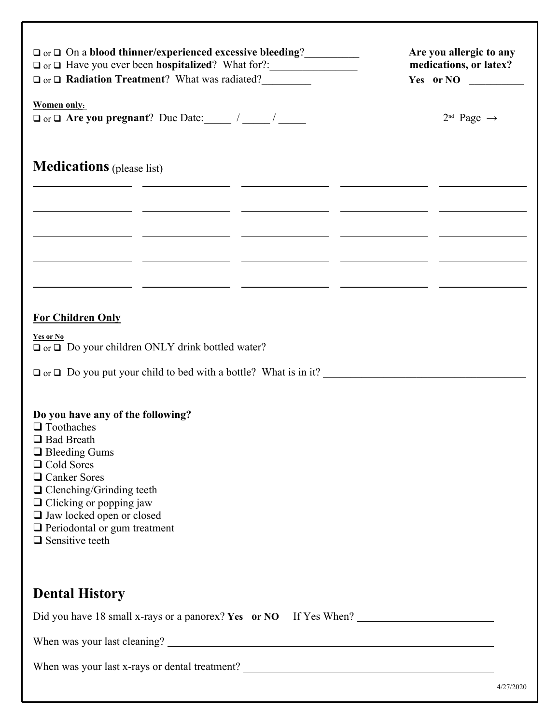| □ or □ On a blood thinner/experienced excessive bleeding?<br><u>□</u><br>$\Box$ or $\Box$ <b>Radiation Treatment</b> ? What was radiated?                                                                                                                                                                           | Are you allergic to any<br>medications, or latex? |
|---------------------------------------------------------------------------------------------------------------------------------------------------------------------------------------------------------------------------------------------------------------------------------------------------------------------|---------------------------------------------------|
| Women only:                                                                                                                                                                                                                                                                                                         | $2^{nd}$ Page $\rightarrow$                       |
| <b>Medications</b> (please list)<br><u> 1988 - Johann John Stoff, fransk politik (* 1908)</u>                                                                                                                                                                                                                       |                                                   |
| <u> 22 maret - Jacob Sarah, masjid al-Amerikan (h. 1982).</u><br><u> 1990 - Jan James James Barnett, president eta industrial (h. 1908).</u>                                                                                                                                                                        |                                                   |
| <u> 1999 - Jan Alexandro (h. 1989).</u> Antonio eta Antonio eta Antonio eta Antonio eta Antonio eta Antonio eta Anton<br><u> 1999 - Andrea Andrew Maria (andrew Maria (andrew Maria (andrew Maria (andrew Maria (andrew Maria (</u>                                                                                 |                                                   |
| <b>For Children Only</b><br>Yes or No                                                                                                                                                                                                                                                                               |                                                   |
| $\Box$ or $\Box$ Do your children ONLY drink bottled water?<br>$\Box$ or $\Box$ Do you put your child to bed with a bottle? What is in it?                                                                                                                                                                          |                                                   |
| Do you have any of the following?<br>$\Box$ Toothaches<br>□ Bad Breath<br>$\Box$ Bleeding Gums<br>□ Cold Sores<br>$\Box$ Canker Sores<br>$\hfill\Box$<br>Clenching/Grinding teeth<br>$\Box$ Clicking or popping jaw<br>I Jaw locked open or closed<br>$\Box$ Periodontal or gum treatment<br>$\Box$ Sensitive teeth |                                                   |
| <b>Dental History</b>                                                                                                                                                                                                                                                                                               |                                                   |
| Did you have 18 small x-rays or a panorex? Yes or NO If Yes When?                                                                                                                                                                                                                                                   |                                                   |
|                                                                                                                                                                                                                                                                                                                     |                                                   |
|                                                                                                                                                                                                                                                                                                                     |                                                   |